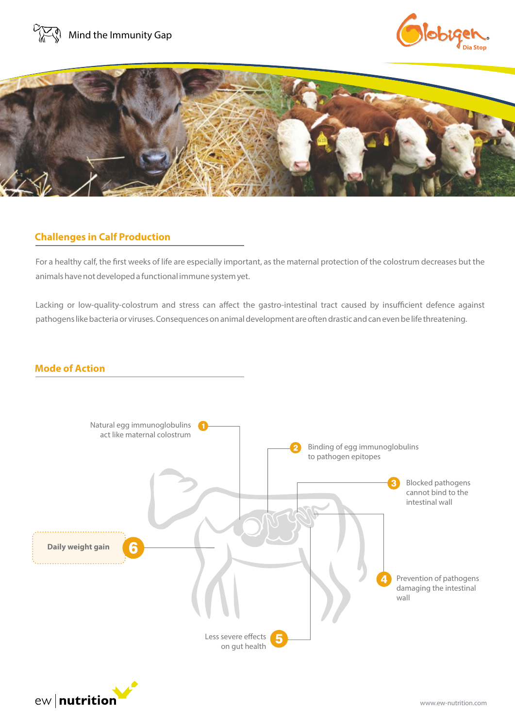





## **Challenges in Calf Production**

For a healthy calf, the first weeks of life are especially important, as the maternal protection of the colostrum decreases but the animals have not developed a functional immune system yet.

Lacking or low-quality-colostrum and stress can affect the gastro-intestinal tract caused by insufficient defence against pathogens like bacteria or viruses. Consequences on animal development are often drastic and can even be life threatening.

#### **Mode of Action**